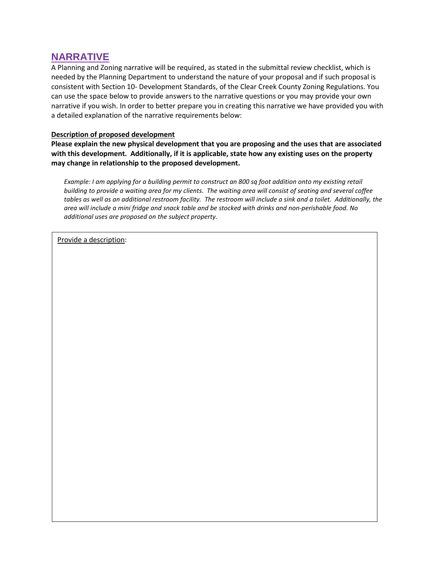## **NARRATIVE**

A Planning and Zoning narrative will be required, as stated in the submittal review checklist, which is needed by the Planning Department to understand the nature of your proposal and if such proposal is consistent with Section 10- Development Standards, of the Clear Creek County Zoning Regulations. You can use the space below to provide answers to the narrative questions or you may provide your own narrative if you wish. In order to better prepare you in creating this narrative we have provided you with a detailed explanation of the narrative requirements below:

## **Description of proposed development**

**Please explain the new physical development that you are proposing and the uses that are associated with this development. Additionally, if it is applicable, state how any existing uses on the property may change in relationship to the proposed development.**

*Example: I am applying for a building permit to construct an 800 sq foot addition onto my existing retail building to provide a waiting area for my clients. The waiting area will consist of seating and several coffee*  tables as well as an additional restroom facility. The restroom will include a sink and a toilet. Additionally, the *area will include a mini fridge and snack table and be stocked with drinks and non-perishable food. No additional uses are proposed on the subject property.*

Provide a description: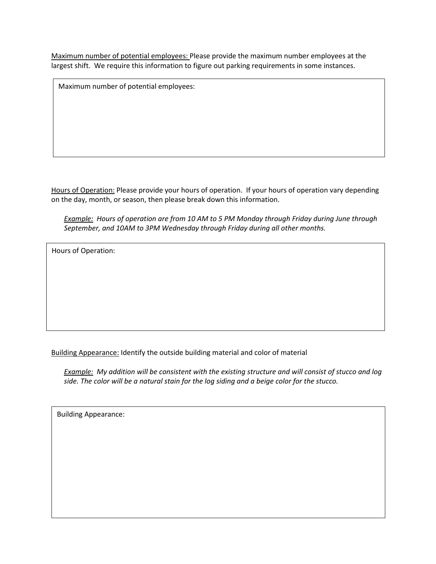Maximum number of potential employees: Please provide the maximum number employees at the largest shift. We require this information to figure out parking requirements in some instances.

Maximum number of potential employees:

Hours of Operation: Please provide your hours of operation. If your hours of operation vary depending on the day, month, or season, then please break down this information.

*Example: Hours of operation are from 10 AM to 5 PM Monday through Friday during June through September, and 10AM to 3PM Wednesday through Friday during all other months.* 

Hours of Operation:

Building Appearance: Identify the outside building material and color of material

*Example: My addition will be consistent with the existing structure and will consist of stucco and log side. The color will be a natural stain for the log siding and a beige color for the stucco.*

Building Appearance: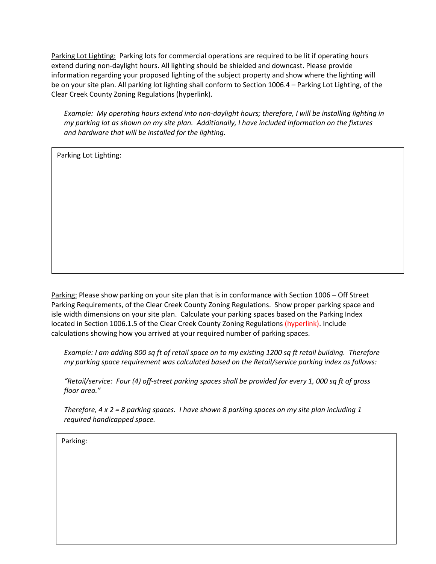Parking Lot Lighting: Parking lots for commercial operations are required to be lit if operating hours extend during non-daylight hours. All lighting should be shielded and downcast. Please provide information regarding your proposed lighting of the subject property and show where the lighting will be on your site plan. All parking lot lighting shall conform to Section 1006.4 – Parking Lot Lighting, of the Clear Creek County Zoning Regulations (hyperlink).

*Example: My operating hours extend into non-daylight hours; therefore, I will be installing lighting in my parking lot as shown on my site plan. Additionally, I have included information on the fixtures and hardware that will be installed for the lighting.* 

Parking Lot Lighting:

Parking: Please show parking on your site plan that is in conformance with Section 1006 – Off Street Parking Requirements, of the Clear Creek County Zoning Regulations. Show proper parking space and isle width dimensions on your site plan. Calculate your parking spaces based on the Parking Index located in Section 1006.1.5 of the Clear Creek County Zoning Regulations (hyperlink). Include calculations showing how you arrived at your required number of parking spaces.

*Example: I am adding 800 sq ft of retail space on to my existing 1200 sq ft retail building. Therefore my parking space requirement was calculated based on the Retail/service parking index as follows:*

*"Retail/service: Four (4) off-street parking spaces shall be provided for every 1, 000 sq ft of gross floor area."*

*Therefore, 4 x 2 = 8 parking spaces. I have shown 8 parking spaces on my site plan including 1 required handicapped space.*

Parking: